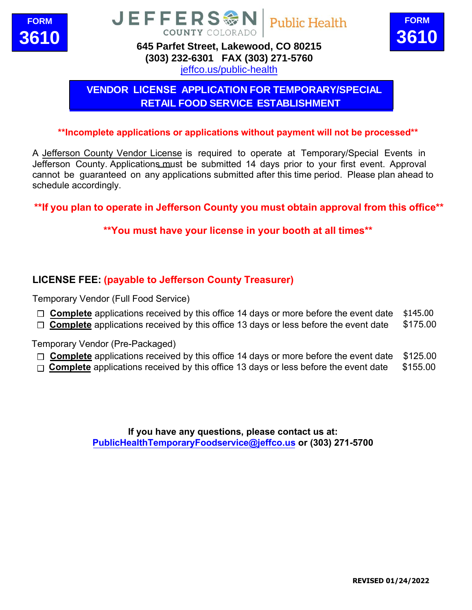





# **(303) [232-6301 FAX \(303\) 27](http://www.jeffco.us/health)1-5760**

ieffco.us/public-health

# **VENDOR LICENSE APPLICATION FOR TEMPORARY/SPECIAL RETAIL FOOD SERVICE ESTABLISHMENT**

#### **\*\*Incomplete applications or applications without payment will not be processed\*\***

A Jefferson County Vendor License is required to operate at Temporary/Special Events in Jefferson County. Applications must be submitted 14 days prior to your first event. Approval cannot be guaranteed on any applications submitted after this time period. Please plan ahead to schedule accordingly.

**\*\*If you plan to operate in Jefferson County you must obtain approval from this office\*\*** 

## **\*\*You must have your license in your booth at all times\*\***

## **LICENSE FEE: (payable to Jefferson County Treasurer)**

Temporary Vendor (Full Food Service)

- □ **Complete** applications received by this office 14 days or more before the event date \$145.00
- □ **Complete** applications received by this office 13 days or less before the event date \$175.00

Temporary Vendor (Pre-Packaged)

- □ **Complete** applications received by this office 14 days or more before the event date \$125.00
- $\Box$  **Complete** applications received by this office 13 days or less bef[ore the event da](mailto:tleicht@jeffco.us)te  $$155.00$

**If you have any questions, please contact us at: PublicHealthTemporaryFoodservice@jeffco.us or (303) 271-5700**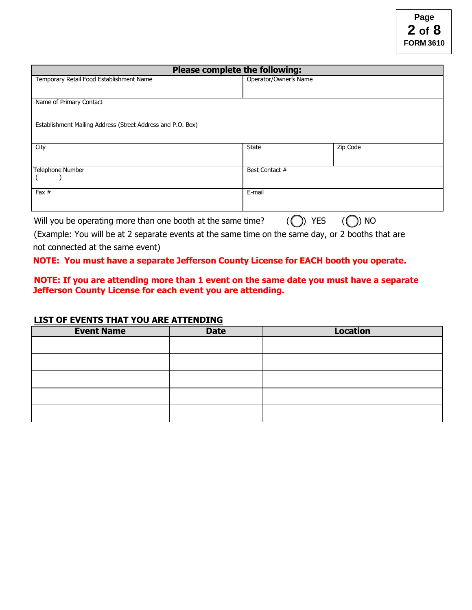| Please complete the following:                                                         |                       |          |
|----------------------------------------------------------------------------------------|-----------------------|----------|
| Temporary Retail Food Establishment Name                                               | Operator/Owner's Name |          |
|                                                                                        |                       |          |
| Name of Primary Contact                                                                |                       |          |
|                                                                                        |                       |          |
| Establishment Mailing Address (Street Address and P.O. Box)                            |                       |          |
|                                                                                        |                       |          |
| City                                                                                   | <b>State</b>          | Zip Code |
|                                                                                        |                       |          |
| Telephone Number                                                                       | Best Contact #        |          |
|                                                                                        |                       |          |
| Fax $#$                                                                                | E-mail                |          |
|                                                                                        |                       |          |
| <b>YES</b><br><b>NO</b><br>Will you be operating more than one booth at the same time? |                       |          |

**Page 2 of 8 FORM 3610**

(Example: You will be at 2 separate events at the same time on the same day, or 2 booths that are not connected at the same event)

#### **NOTE: You must have a separate Jefferson County License for EACH booth you operate.**

#### **NOTE: If you are attending more than 1 event on the same date you must have a separate Jefferson County License for each event you are attending.**

#### **LIST OF EVENTS THAT YOU ARE ATTENDING**

| <b>Event Name</b> | <b>Date</b> | <b>Location</b> |
|-------------------|-------------|-----------------|
|                   |             |                 |
|                   |             |                 |
|                   |             |                 |
|                   |             |                 |
|                   |             |                 |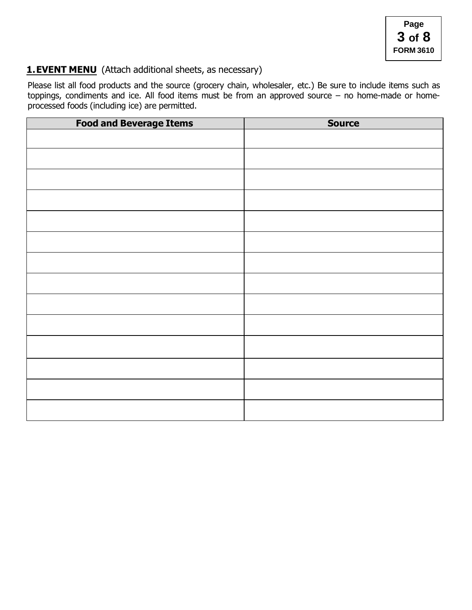## **1. EVENT MENU** (Attach additional sheets, as necessary)

Please list all food products and the source (grocery chain, wholesaler, etc.) Be sure to include items such as toppings, condiments and ice. All food items must be from an approved source – no home-made or homeprocessed foods (including ice) are permitted.

| <b>Food and Beverage Items</b> | <b>Source</b> |
|--------------------------------|---------------|
|                                |               |
|                                |               |
|                                |               |
|                                |               |
|                                |               |
|                                |               |
|                                |               |
|                                |               |
|                                |               |
|                                |               |
|                                |               |
|                                |               |
|                                |               |
|                                |               |
|                                |               |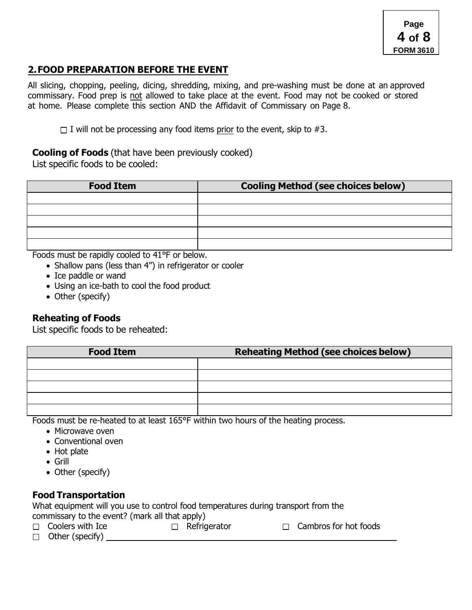## **2. FOOD PREPARATION BEFORE THE EVENT**

All slicing, chopping, peeling, dicing, shredding, mixing, and pre-washing must be done at an approved commissary. Food prep is not allowed to take place at the event. Food may not be cooked or stored at home. Please complete this section AND the Affidavit of Commissary on Page 8.

 $\Box$  I will not be processing any food items prior to the event, skip to #3.

## **Cooling of Foods** (that have been previously cooked)

List specific foods to be cooled:

| <b>Food Item</b> | <b>Cooling Method (see choices below)</b> |
|------------------|-------------------------------------------|
|                  |                                           |
|                  |                                           |
|                  |                                           |
|                  |                                           |
|                  |                                           |

Foods must be rapidly cooled to 41°F or below.

- Shallow pans (less than 4") in refrigerator or cooler
- Ice paddle or wand
- Using an ice-bath to cool the food product
- Other (specify)

## **Reheating of Foods**

List specific foods to be reheated:

| <b>Food Item</b> | <b>Reheating Method (see choices below)</b> |
|------------------|---------------------------------------------|
|                  |                                             |
|                  |                                             |
|                  |                                             |
|                  |                                             |
|                  |                                             |

Foods must be re-heated to at least 165°F within two hours of the heating process.

- Microwave oven
- Conventional oven
- Hot plate
- Grill
- Other (specify)

## **Food Transportation**

What equipment will you use to control food temperatures during transport from the commissary to the event? (mark all that apply)

- $\Box$  Coolers with Ice  $\Box$  Refrigerator  $\Box$  Cambros for hot foods
- $\Box$  Other (specify)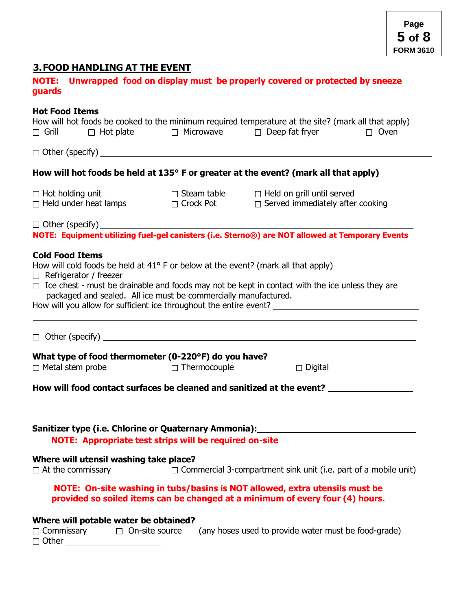# **3. FOOD HANDLING AT THE EVENT**

| <b>NOTE:</b><br>guards                                                                                                                                                                                                                                                                                                                                                                          |                | Unwrapped food on display must be properly covered or protected by sneeze   |             |
|-------------------------------------------------------------------------------------------------------------------------------------------------------------------------------------------------------------------------------------------------------------------------------------------------------------------------------------------------------------------------------------------------|----------------|-----------------------------------------------------------------------------|-------------|
| <b>Hot Food Items</b><br>How will hot foods be cooked to the minimum required temperature at the site? (mark all that apply)<br>$\Box$ Grill                                                                                                                                                                                                                                                    |                | $\Box$ Hot plate $\Box$ Microwave $\Box$ Deep fat fryer                     | $\Box$ Oven |
| $\Box$ Other (specify) $\Box$                                                                                                                                                                                                                                                                                                                                                                   |                |                                                                             |             |
| How will hot foods be held at 135° F or greater at the event? (mark all that apply)                                                                                                                                                                                                                                                                                                             |                |                                                                             |             |
| $\Box$ Hot holding unit $\Box$ Steam table $\Box$ Held on grill until served $\Box$ Held under heat lamps $\Box$ Crock Pot $\Box$ Served immediately after cooking                                                                                                                                                                                                                              |                |                                                                             |             |
| □ Other (specify)<br>NOTE: Equipment utilizing fuel-gel canisters (i.e. Sterno®) are NOT allowed at Temporary Events                                                                                                                                                                                                                                                                            |                |                                                                             |             |
| <b>Cold Food Items</b><br>How will cold foods be held at 41° F or below at the event? (mark all that apply)<br>$\Box$ Refrigerator / freezer<br>$\Box$ Ice chest - must be drainable and foods may not be kept in contact with the ice unless they are<br>packaged and sealed. All ice must be commercially manufactured.<br>How will you allow for sufficient ice throughout the entire event? |                | <u> 1989 - Johann Stoff, amerikansk politiker (* 1908)</u>                  |             |
|                                                                                                                                                                                                                                                                                                                                                                                                 |                |                                                                             |             |
| What type of food thermometer (0-220°F) do you have?<br>$\Box$ Metal stem probe                                                                                                                                                                                                                                                                                                                 | □ Thermocouple | $\Box$ Digital                                                              |             |
| How will food contact surfaces be cleaned and sanitized at the event?                                                                                                                                                                                                                                                                                                                           |                |                                                                             |             |
| Sanitizer type (i.e. Chlorine or Quaternary Ammonia):<br>NOTE: Appropriate test strips will be required on-site                                                                                                                                                                                                                                                                                 |                |                                                                             |             |
| Where will utensil washing take place?<br>$\Box$ At the commissary                                                                                                                                                                                                                                                                                                                              |                | $\Box$ Commercial 3-compartment sink unit (i.e. part of a mobile unit)      |             |
| provided so soiled items can be changed at a minimum of every four (4) hours.                                                                                                                                                                                                                                                                                                                   |                | NOTE: On-site washing in tubs/basins is NOT allowed, extra utensils must be |             |
| Where will potable water be obtained?<br>$\Box$ Commissary<br>$\Box$ On-site source<br>$\Box$ Other                                                                                                                                                                                                                                                                                             |                | (any hoses used to provide water must be food-grade)                        |             |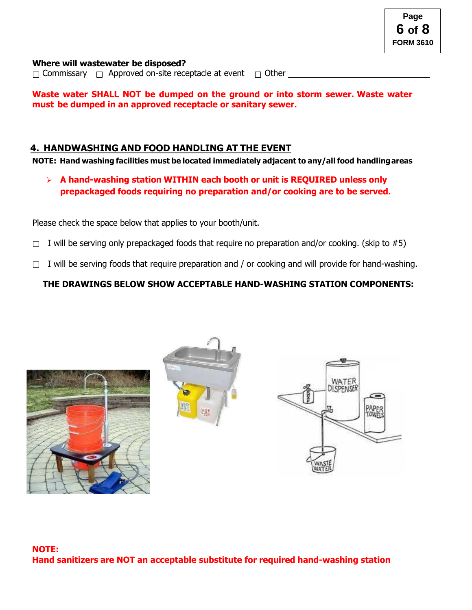#### **Where will wastewater be disposed?**

 $\Box$  Commissary  $\Box$  Approved on-site receptacle at event  $\Box$  Other

**Waste water SHALL NOT be dumped on the ground or into storm sewer. Waste water must be dumped in an approved receptacle or sanitary sewer.**

#### **4. HANDWASHING AND FOOD HANDLING AT THE EVENT**

**NOTE: Hand washing facilities must be located immediately adjacent to any/all food handlingareas**

➢ **A hand-washing station WITHIN each booth or unit is REQUIRED unless only prepackaged foods requiring no preparation and/or cooking are to be served.**

Please check the space below that applies to your booth/unit.

- $\Box$  I will be serving only prepackaged foods that require no preparation and/or cooking. (skip to #5)
- $\Box$  I will be serving foods that require preparation and / or cooking and will provide for hand-washing.

#### **THE DRAWINGS BELOW SHOW ACCEPTABLE HAND-WASHING STATION COMPONENTS:**





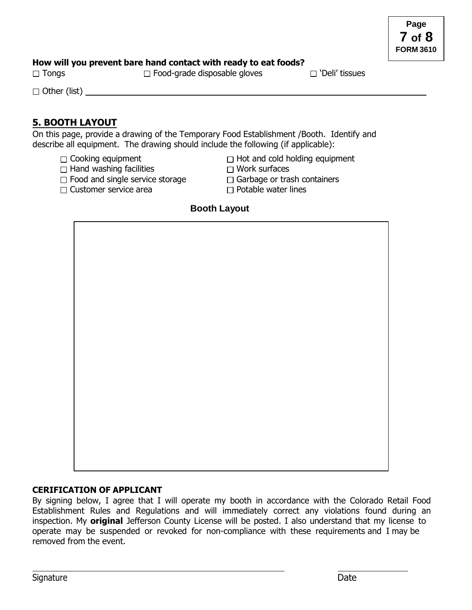#### **How will you prevent bare hand contact with ready to eat foods?**

 $\square$  Tongs  $\square$  Food-grade disposable gloves  $\square$  'Deli' tissues

 $\Box$  Other (list)

## **5. BOOTH LAYOUT**

On this page, provide a drawing of the Temporary Food Establishment /Booth. Identify and describe all equipment. The drawing should include the following (if applicable):

- 
- $\Box$  Hand washing facilities  $\Box$  Work surfaces
- $\Box$  Food and single service storage  $\Box$  Garbage or trash containers
- $\Box$  Customer service area  $\Box$  Potable water lines

 $\Box$  Cooking equipment  $\Box$  Hot and cold holding equipment

- 
- 
- 

#### **Booth Layout**

**CERIFICATION OF APPLICANT** By signing below, I agree that I will operate my booth in accordance with the Colorado Retail Food Establishment Rules and Regulations and will immediately correct any violations found during an inspection. My **original** Jefferson County License will be posted. I also understand that my license to operate may be suspended or revoked for non-compliance with these requirements and I may be removed from the event.